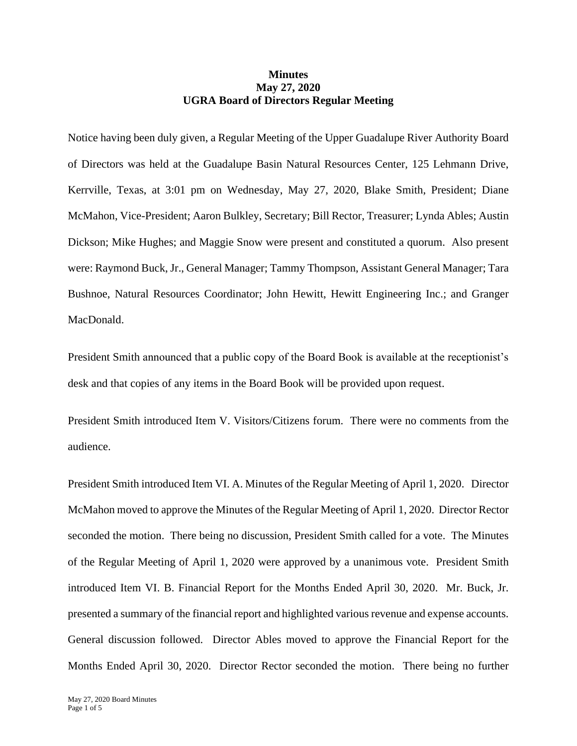## **Minutes May 27, 2020 UGRA Board of Directors Regular Meeting**

Notice having been duly given, a Regular Meeting of the Upper Guadalupe River Authority Board of Directors was held at the Guadalupe Basin Natural Resources Center, 125 Lehmann Drive, Kerrville, Texas, at 3:01 pm on Wednesday, May 27, 2020, Blake Smith, President; Diane McMahon, Vice-President; Aaron Bulkley, Secretary; Bill Rector, Treasurer; Lynda Ables; Austin Dickson; Mike Hughes; and Maggie Snow were present and constituted a quorum. Also present were: Raymond Buck, Jr., General Manager; Tammy Thompson, Assistant General Manager; Tara Bushnoe, Natural Resources Coordinator; John Hewitt, Hewitt Engineering Inc.; and Granger MacDonald.

President Smith announced that a public copy of the Board Book is available at the receptionist's desk and that copies of any items in the Board Book will be provided upon request.

President Smith introduced Item V. Visitors/Citizens forum. There were no comments from the audience.

President Smith introduced Item VI. A. Minutes of the Regular Meeting of April 1, 2020. Director McMahon moved to approve the Minutes of the Regular Meeting of April 1, 2020. Director Rector seconded the motion. There being no discussion, President Smith called for a vote. The Minutes of the Regular Meeting of April 1, 2020 were approved by a unanimous vote. President Smith introduced Item VI. B. Financial Report for the Months Ended April 30, 2020. Mr. Buck, Jr. presented a summary of the financial report and highlighted various revenue and expense accounts. General discussion followed. Director Ables moved to approve the Financial Report for the Months Ended April 30, 2020. Director Rector seconded the motion. There being no further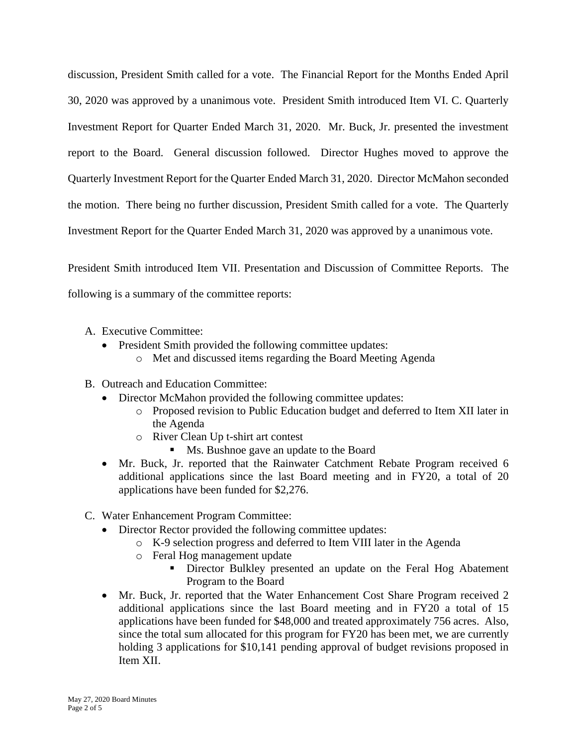discussion, President Smith called for a vote. The Financial Report for the Months Ended April 30, 2020 was approved by a unanimous vote. President Smith introduced Item VI. C. Quarterly Investment Report for Quarter Ended March 31, 2020. Mr. Buck, Jr. presented the investment report to the Board. General discussion followed. Director Hughes moved to approve the Quarterly Investment Report for the Quarter Ended March 31, 2020. Director McMahon seconded the motion. There being no further discussion, President Smith called for a vote. The Quarterly Investment Report for the Quarter Ended March 31, 2020 was approved by a unanimous vote.

President Smith introduced Item VII. Presentation and Discussion of Committee Reports. The following is a summary of the committee reports:

- A. Executive Committee:
	- President Smith provided the following committee updates:
		- o Met and discussed items regarding the Board Meeting Agenda
- B. Outreach and Education Committee:
	- Director McMahon provided the following committee updates:
		- o Proposed revision to Public Education budget and deferred to Item XII later in the Agenda
		- o River Clean Up t-shirt art contest
			- Ms. Bushnoe gave an update to the Board
	- Mr. Buck, Jr. reported that the Rainwater Catchment Rebate Program received 6 additional applications since the last Board meeting and in FY20, a total of 20 applications have been funded for \$2,276.
- C. Water Enhancement Program Committee:
	- Director Rector provided the following committee updates:
		- o K-9 selection progress and deferred to Item VIII later in the Agenda
		- o Feral Hog management update
			- **EXECUTE:** Director Bulkley presented an update on the Feral Hog Abatement Program to the Board
	- Mr. Buck, Jr. reported that the Water Enhancement Cost Share Program received 2 additional applications since the last Board meeting and in FY20 a total of 15 applications have been funded for \$48,000 and treated approximately 756 acres. Also, since the total sum allocated for this program for FY20 has been met, we are currently holding 3 applications for \$10,141 pending approval of budget revisions proposed in Item XII.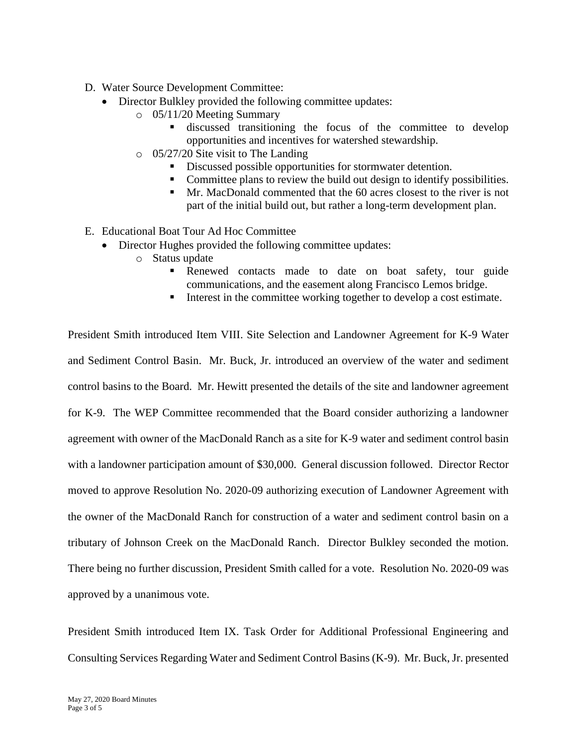- D. Water Source Development Committee:
	- Director Bulkley provided the following committee updates:
		- o 05/11/20 Meeting Summary
			- discussed transitioning the focus of the committee to develop opportunities and incentives for watershed stewardship.
		- o 05/27/20 Site visit to The Landing
			- Discussed possible opportunities for stormwater detention.
			- Committee plans to review the build out design to identify possibilities.
			- Mr. MacDonald commented that the 60 acres closest to the river is not part of the initial build out, but rather a long-term development plan.
- E. Educational Boat Tour Ad Hoc Committee
	- Director Hughes provided the following committee updates:
		- o Status update
			- Renewed contacts made to date on boat safety, tour guide communications, and the easement along Francisco Lemos bridge.
			- Interest in the committee working together to develop a cost estimate.

President Smith introduced Item VIII. Site Selection and Landowner Agreement for K-9 Water and Sediment Control Basin. Mr. Buck, Jr. introduced an overview of the water and sediment control basins to the Board. Mr. Hewitt presented the details of the site and landowner agreement for K-9. The WEP Committee recommended that the Board consider authorizing a landowner agreement with owner of the MacDonald Ranch as a site for K-9 water and sediment control basin with a landowner participation amount of \$30,000. General discussion followed. Director Rector moved to approve Resolution No. 2020-09 authorizing execution of Landowner Agreement with the owner of the MacDonald Ranch for construction of a water and sediment control basin on a tributary of Johnson Creek on the MacDonald Ranch. Director Bulkley seconded the motion. There being no further discussion, President Smith called for a vote. Resolution No. 2020-09 was approved by a unanimous vote.

President Smith introduced Item IX. Task Order for Additional Professional Engineering and Consulting Services Regarding Water and Sediment Control Basins (K-9). Mr. Buck, Jr. presented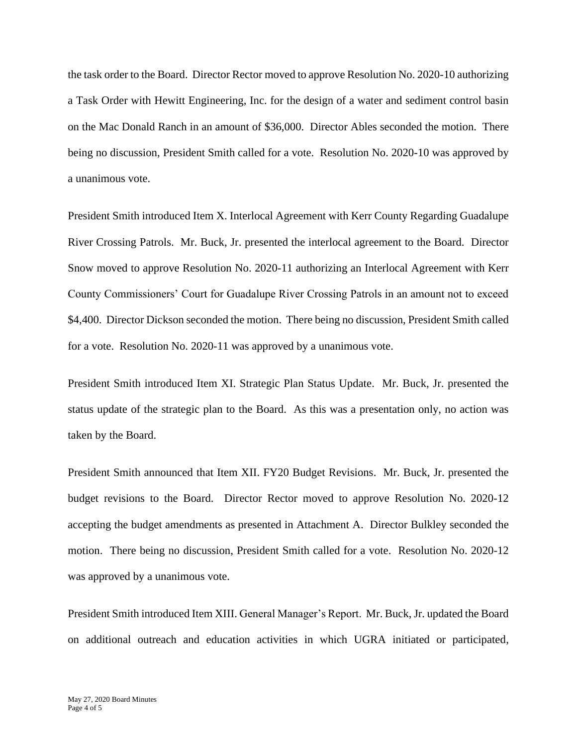the task order to the Board. Director Rector moved to approve Resolution No. 2020-10 authorizing a Task Order with Hewitt Engineering, Inc. for the design of a water and sediment control basin on the Mac Donald Ranch in an amount of \$36,000. Director Ables seconded the motion. There being no discussion, President Smith called for a vote. Resolution No. 2020-10 was approved by a unanimous vote.

President Smith introduced Item X. Interlocal Agreement with Kerr County Regarding Guadalupe River Crossing Patrols. Mr. Buck, Jr. presented the interlocal agreement to the Board. Director Snow moved to approve Resolution No. 2020-11 authorizing an Interlocal Agreement with Kerr County Commissioners' Court for Guadalupe River Crossing Patrols in an amount not to exceed \$4,400. Director Dickson seconded the motion. There being no discussion, President Smith called for a vote. Resolution No. 2020-11 was approved by a unanimous vote.

President Smith introduced Item XI. Strategic Plan Status Update. Mr. Buck, Jr. presented the status update of the strategic plan to the Board. As this was a presentation only, no action was taken by the Board.

President Smith announced that Item XII. FY20 Budget Revisions. Mr. Buck, Jr. presented the budget revisions to the Board. Director Rector moved to approve Resolution No. 2020-12 accepting the budget amendments as presented in Attachment A. Director Bulkley seconded the motion. There being no discussion, President Smith called for a vote. Resolution No. 2020-12 was approved by a unanimous vote.

President Smith introduced Item XIII. General Manager's Report. Mr. Buck, Jr. updated the Board on additional outreach and education activities in which UGRA initiated or participated,